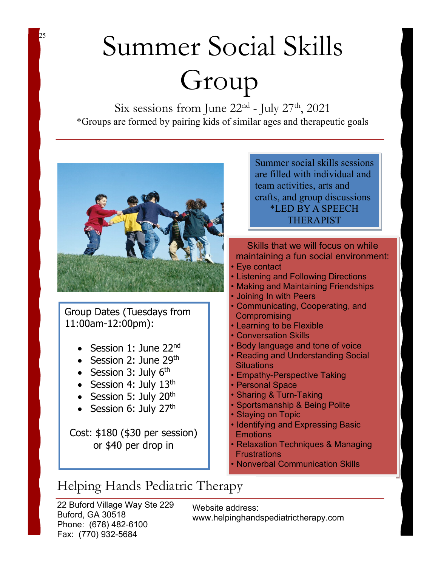## Summer Social Skills Group

Six sessions from June  $22<sup>nd</sup>$  - July  $27<sup>th</sup>$ ,  $2021$ \*Groups are formed by pairing kids of similar ages and therapeutic goals



<sup>25</sup>

Group Dates (Tuesdays from 11:00am-12:00pm):

- Session 1: June 22<sup>nd</sup>
- Session 2: June  $29<sup>th</sup>$
- Session 3: July  $6<sup>th</sup>$
- Session 4: July  $13<sup>th</sup>$
- Session 5: July  $20<sup>th</sup>$
- Session 6: July 27<sup>th</sup>

Cost: \$180 (\$30 per session) or \$40 per drop in

Summer social skills sessions are filled with individual and team activities, arts and crafts, and group discussions \*LED BY A SPEECH THERAPIST

Skills that we will focus on while maintaining a fun social environment:

- Eye contact
- Listening and Following Directions
- Making and Maintaining Friendships
- Joining In with Peers
- Communicating, Cooperating, and **Compromising**
- Learning to be Flexible
- Conversation Skills
- Body language and tone of voice
- Reading and Understanding Social **Situations**
- Empathy-Perspective Taking
- Personal Space
- Sharing & Turn-Taking
- Sportsmanship & Being Polite
- Staying on Topic
- Identifying and Expressing Basic **Emotions**
- Relaxation Techniques & Managing **Frustrations**
- Nonverbal Communication Skills

## Helping Hands Pediatric Therapy

22 Buford Village Way Ste 229 Buford, GA 30518 Phone: (678) 482-6100 Fax: (770) 932-5684

Website address: www.helpinghandspediatrictherapy.com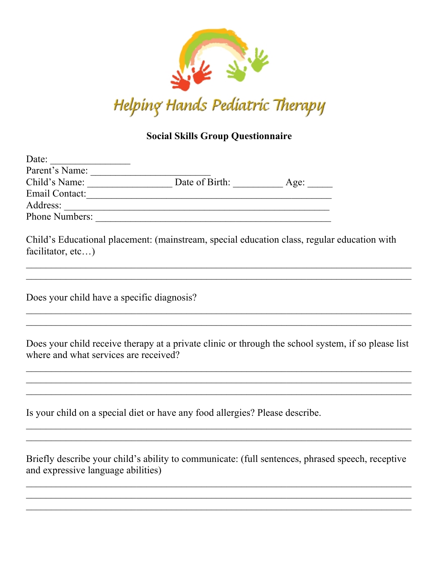

## **Social Skills Group Questionnaire**

| Date:                 |                |      |
|-----------------------|----------------|------|
| Parent's Name:        |                |      |
| Child's Name:         | Date of Birth: | Age: |
| Email Contact:        |                |      |
| Address:              |                |      |
| <b>Phone Numbers:</b> |                |      |

Child's Educational placement: (mainstream, special education class, regular education with facilitator, etc...)

 $\mathcal{L}_\mathcal{L} = \mathcal{L}_\mathcal{L} = \mathcal{L}_\mathcal{L} = \mathcal{L}_\mathcal{L} = \mathcal{L}_\mathcal{L} = \mathcal{L}_\mathcal{L} = \mathcal{L}_\mathcal{L} = \mathcal{L}_\mathcal{L} = \mathcal{L}_\mathcal{L} = \mathcal{L}_\mathcal{L} = \mathcal{L}_\mathcal{L} = \mathcal{L}_\mathcal{L} = \mathcal{L}_\mathcal{L} = \mathcal{L}_\mathcal{L} = \mathcal{L}_\mathcal{L} = \mathcal{L}_\mathcal{L} = \mathcal{L}_\mathcal{L}$ 

 $\mathcal{L}_\mathcal{L} = \mathcal{L}_\mathcal{L} = \mathcal{L}_\mathcal{L} = \mathcal{L}_\mathcal{L} = \mathcal{L}_\mathcal{L} = \mathcal{L}_\mathcal{L} = \mathcal{L}_\mathcal{L} = \mathcal{L}_\mathcal{L} = \mathcal{L}_\mathcal{L} = \mathcal{L}_\mathcal{L} = \mathcal{L}_\mathcal{L} = \mathcal{L}_\mathcal{L} = \mathcal{L}_\mathcal{L} = \mathcal{L}_\mathcal{L} = \mathcal{L}_\mathcal{L} = \mathcal{L}_\mathcal{L} = \mathcal{L}_\mathcal{L}$ 

Does your child have a specific diagnosis?

Does your child receive therapy at a private clinic or through the school system, if so please list where and what services are received?

 $\mathcal{L}_\mathcal{L} = \mathcal{L}_\mathcal{L} = \mathcal{L}_\mathcal{L} = \mathcal{L}_\mathcal{L} = \mathcal{L}_\mathcal{L} = \mathcal{L}_\mathcal{L} = \mathcal{L}_\mathcal{L} = \mathcal{L}_\mathcal{L} = \mathcal{L}_\mathcal{L} = \mathcal{L}_\mathcal{L} = \mathcal{L}_\mathcal{L} = \mathcal{L}_\mathcal{L} = \mathcal{L}_\mathcal{L} = \mathcal{L}_\mathcal{L} = \mathcal{L}_\mathcal{L} = \mathcal{L}_\mathcal{L} = \mathcal{L}_\mathcal{L}$ 

Is your child on a special diet or have any food allergies? Please describe.

Briefly describe your child's ability to communicate: (full sentences, phrased speech, receptive and expressive language abilities)

 $\mathcal{L}_\mathcal{L} = \{ \mathcal{L}_\mathcal{L} = \{ \mathcal{L}_\mathcal{L} = \{ \mathcal{L}_\mathcal{L} = \{ \mathcal{L}_\mathcal{L} = \{ \mathcal{L}_\mathcal{L} = \{ \mathcal{L}_\mathcal{L} = \{ \mathcal{L}_\mathcal{L} = \{ \mathcal{L}_\mathcal{L} = \{ \mathcal{L}_\mathcal{L} = \{ \mathcal{L}_\mathcal{L} = \{ \mathcal{L}_\mathcal{L} = \{ \mathcal{L}_\mathcal{L} = \{ \mathcal{L}_\mathcal{L} = \{ \mathcal{L}_\mathcal{$ 

 $\mathcal{L}_\mathcal{L} = \mathcal{L}_\mathcal{L} = \mathcal{L}_\mathcal{L} = \mathcal{L}_\mathcal{L} = \mathcal{L}_\mathcal{L} = \mathcal{L}_\mathcal{L} = \mathcal{L}_\mathcal{L} = \mathcal{L}_\mathcal{L} = \mathcal{L}_\mathcal{L} = \mathcal{L}_\mathcal{L} = \mathcal{L}_\mathcal{L} = \mathcal{L}_\mathcal{L} = \mathcal{L}_\mathcal{L} = \mathcal{L}_\mathcal{L} = \mathcal{L}_\mathcal{L} = \mathcal{L}_\mathcal{L} = \mathcal{L}_\mathcal{L}$ 

 $\mathcal{L}_\mathcal{L} = \mathcal{L}_\mathcal{L} = \mathcal{L}_\mathcal{L} = \mathcal{L}_\mathcal{L} = \mathcal{L}_\mathcal{L} = \mathcal{L}_\mathcal{L} = \mathcal{L}_\mathcal{L} = \mathcal{L}_\mathcal{L} = \mathcal{L}_\mathcal{L} = \mathcal{L}_\mathcal{L} = \mathcal{L}_\mathcal{L} = \mathcal{L}_\mathcal{L} = \mathcal{L}_\mathcal{L} = \mathcal{L}_\mathcal{L} = \mathcal{L}_\mathcal{L} = \mathcal{L}_\mathcal{L} = \mathcal{L}_\mathcal{L}$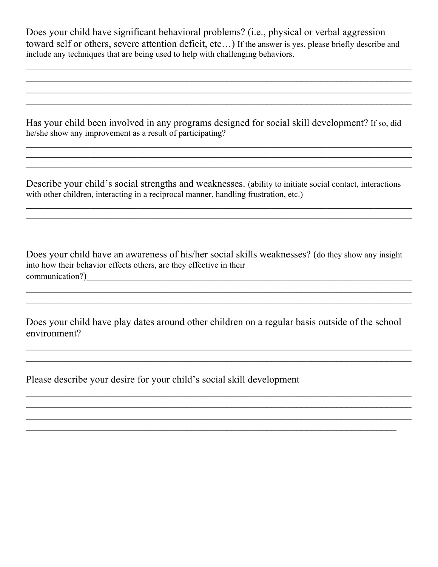Does your child have significant behavioral problems? (i.e., physical or verbal aggression toward self or others, severe attention deficit, etc…) If the answer is yes, please briefly describe and include any techniques that are being used to help with challenging behaviors.

 $\mathcal{L}_\mathcal{L} = \{ \mathcal{L}_\mathcal{L} = \{ \mathcal{L}_\mathcal{L} = \{ \mathcal{L}_\mathcal{L} = \{ \mathcal{L}_\mathcal{L} = \{ \mathcal{L}_\mathcal{L} = \{ \mathcal{L}_\mathcal{L} = \{ \mathcal{L}_\mathcal{L} = \{ \mathcal{L}_\mathcal{L} = \{ \mathcal{L}_\mathcal{L} = \{ \mathcal{L}_\mathcal{L} = \{ \mathcal{L}_\mathcal{L} = \{ \mathcal{L}_\mathcal{L} = \{ \mathcal{L}_\mathcal{L} = \{ \mathcal{L}_\mathcal{$ 

 $\mathcal{L}_\mathcal{L} = \mathcal{L}_\mathcal{L} = \mathcal{L}_\mathcal{L} = \mathcal{L}_\mathcal{L} = \mathcal{L}_\mathcal{L} = \mathcal{L}_\mathcal{L} = \mathcal{L}_\mathcal{L} = \mathcal{L}_\mathcal{L} = \mathcal{L}_\mathcal{L} = \mathcal{L}_\mathcal{L} = \mathcal{L}_\mathcal{L} = \mathcal{L}_\mathcal{L} = \mathcal{L}_\mathcal{L} = \mathcal{L}_\mathcal{L} = \mathcal{L}_\mathcal{L} = \mathcal{L}_\mathcal{L} = \mathcal{L}_\mathcal{L}$ 

Has your child been involved in any programs designed for social skill development? If so, did he/she show any improvement as a result of participating?

Describe your child's social strengths and weaknesses. (ability to initiate social contact, interactions with other children, interacting in a reciprocal manner, handling frustration, etc.)

Does your child have an awareness of his/her social skills weaknesses? (do they show any insight into how their behavior effects others, are they effective in their communication?)\_\_\_\_\_\_\_\_\_\_\_\_\_\_\_\_\_\_\_\_\_\_\_\_\_\_\_\_\_\_\_\_\_\_\_\_\_\_\_\_\_\_\_\_\_\_\_\_\_\_\_\_\_\_\_\_\_\_\_\_\_\_\_\_\_

\_\_\_\_\_\_\_\_\_\_\_\_\_\_\_\_\_\_\_\_\_\_\_\_\_\_\_\_\_\_\_\_\_\_\_\_\_\_\_\_\_\_\_\_\_\_\_\_\_\_\_\_\_\_\_\_\_\_\_\_\_\_\_\_\_\_\_\_\_\_\_\_\_\_\_\_\_

Does your child have play dates around other children on a regular basis outside of the school environment?

 $\mathcal{L}_\mathcal{L} = \mathcal{L}_\mathcal{L} = \mathcal{L}_\mathcal{L} = \mathcal{L}_\mathcal{L} = \mathcal{L}_\mathcal{L} = \mathcal{L}_\mathcal{L} = \mathcal{L}_\mathcal{L} = \mathcal{L}_\mathcal{L} = \mathcal{L}_\mathcal{L} = \mathcal{L}_\mathcal{L} = \mathcal{L}_\mathcal{L} = \mathcal{L}_\mathcal{L} = \mathcal{L}_\mathcal{L} = \mathcal{L}_\mathcal{L} = \mathcal{L}_\mathcal{L} = \mathcal{L}_\mathcal{L} = \mathcal{L}_\mathcal{L}$ 

 $\mathcal{L}_\mathcal{L} = \mathcal{L}_\mathcal{L} = \mathcal{L}_\mathcal{L} = \mathcal{L}_\mathcal{L} = \mathcal{L}_\mathcal{L} = \mathcal{L}_\mathcal{L} = \mathcal{L}_\mathcal{L} = \mathcal{L}_\mathcal{L} = \mathcal{L}_\mathcal{L} = \mathcal{L}_\mathcal{L} = \mathcal{L}_\mathcal{L} = \mathcal{L}_\mathcal{L} = \mathcal{L}_\mathcal{L} = \mathcal{L}_\mathcal{L} = \mathcal{L}_\mathcal{L} = \mathcal{L}_\mathcal{L} = \mathcal{L}_\mathcal{L}$ 

 $\mathcal{L}_\mathcal{L} = \{ \mathcal{L}_\mathcal{L} = \{ \mathcal{L}_\mathcal{L} = \{ \mathcal{L}_\mathcal{L} = \{ \mathcal{L}_\mathcal{L} = \{ \mathcal{L}_\mathcal{L} = \{ \mathcal{L}_\mathcal{L} = \{ \mathcal{L}_\mathcal{L} = \{ \mathcal{L}_\mathcal{L} = \{ \mathcal{L}_\mathcal{L} = \{ \mathcal{L}_\mathcal{L} = \{ \mathcal{L}_\mathcal{L} = \{ \mathcal{L}_\mathcal{L} = \{ \mathcal{L}_\mathcal{L} = \{ \mathcal{L}_\mathcal{$ 

Please describe your desire for your child's social skill development